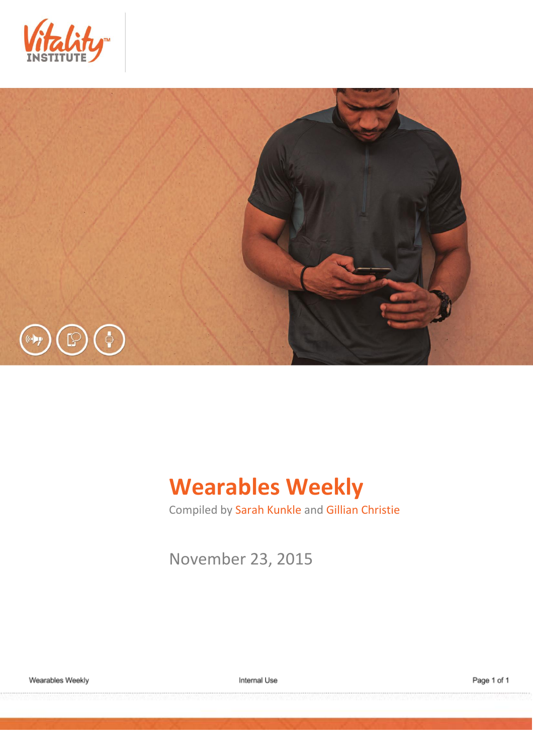



# **Wearables Weekly**

Compiled by Sarah Kunkle and Gillian Christie

November 23, 2015

Internal Use

Page 1 of 1